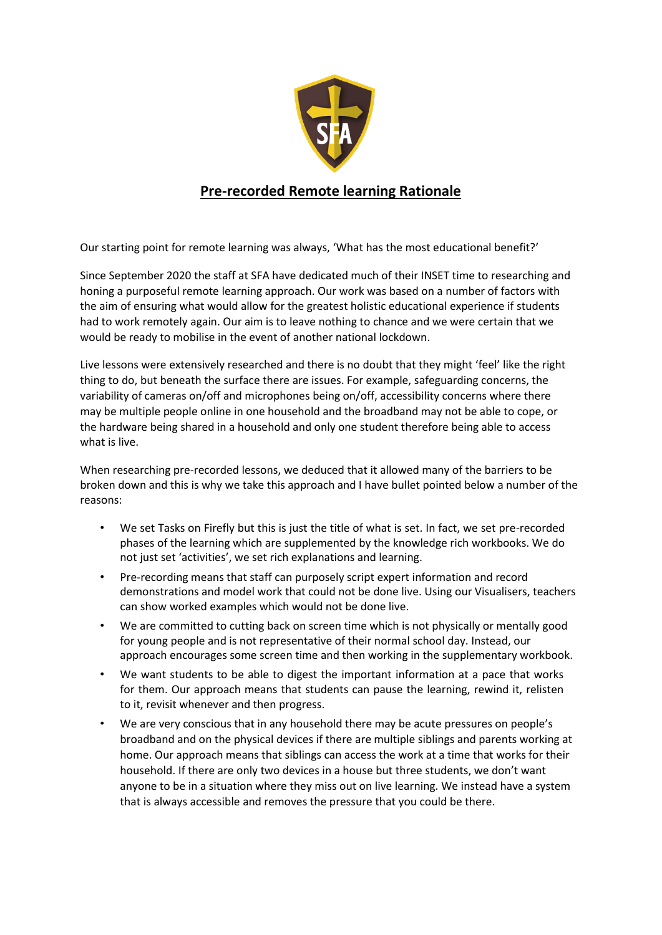

## **Pre-recorded Remote learning Rationale**

Our starting point for remote learning was always, 'What has the most educational benefit?'

Since September 2020 the staff at SFA have dedicated much of their INSET time to researching and honing a purposeful remote learning approach. Our work was based on a number of factors with the aim of ensuring what would allow for the greatest holistic educational experience if students had to work remotely again. Our aim is to leave nothing to chance and we were certain that we would be ready to mobilise in the event of another national lockdown.

Live lessons were extensively researched and there is no doubt that they might 'feel' like the right thing to do, but beneath the surface there are issues. For example, safeguarding concerns, the variability of cameras on/off and microphones being on/off, accessibility concerns where there may be multiple people online in one household and the broadband may not be able to cope, or the hardware being shared in a household and only one student therefore being able to access what is live.

When researching pre-recorded lessons, we deduced that it allowed many of the barriers to be broken down and this is why we take this approach and I have bullet pointed below a number of the reasons:

- We set Tasks on Firefly but this is just the title of what is set. In fact, we set pre-recorded phases of the learning which are supplemented by the knowledge rich workbooks. We do not just set 'activities', we set rich explanations and learning.
- Pre-recording means that staff can purposely script expert information and record demonstrations and model work that could not be done live. Using our Visualisers, teachers can show worked examples which would not be done live.
- We are committed to cutting back on screen time which is not physically or mentally good for young people and is not representative of their normal school day. Instead, our approach encourages some screen time and then working in the supplementary workbook.
- We want students to be able to digest the important information at a pace that works for them. Our approach means that students can pause the learning, rewind it, relisten to it, revisit whenever and then progress.
- We are very conscious that in any household there may be acute pressures on people's broadband and on the physical devices if there are multiple siblings and parents working at home. Our approach means that siblings can access the work at a time that works for their household. If there are only two devices in a house but three students, we don't want anyone to be in a situation where they miss out on live learning. We instead have a system that is always accessible and removes the pressure that you could be there.